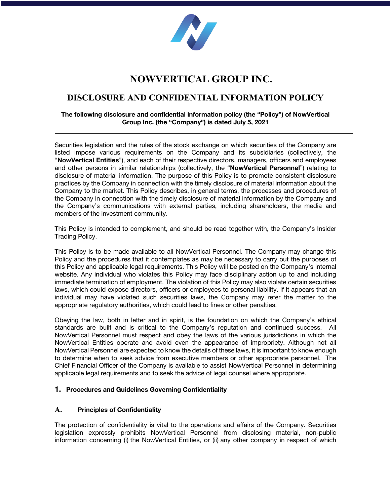

# **NOWVERTICAL GROUP INC.**

# **DISCLOSURE AND CONFIDENTIAL INFORMATION POLICY**

# **The following disclosure and confidential information policy (the "Policy") of NowVertical Group Inc. (the "Company") is dated July 5, 2021**

Securities legislation and the rules of the stock exchange on which securities of the Company are listed impose various requirements on the Company and its subsidiaries (collectively, the "**NowVertical Entities**"), and each of their respective directors, managers, officers and employees and other persons in similar relationships (collectively, the "**NowVertical Personnel**") relating to disclosure of material information. The purpose of this Policy is to promote consistent disclosure practices by the Company in connection with the timely disclosure of material information about the Company to the market. This Policy describes, in general terms, the processes and procedures of the Company in connection with the timely disclosure of material information by the Company and the Company's communications with external parties, including shareholders, the media and members of the investment community.

This Policy is intended to complement, and should be read together with, the Company's Insider Trading Policy.

This Policy is to be made available to all NowVertical Personnel. The Company may change this Policy and the procedures that it contemplates as may be necessary to carry out the purposes of this Policy and applicable legal requirements. This Policy will be posted on the Company's internal website. Any individual who violates this Policy may face disciplinary action up to and including immediate termination of employment. The violation of this Policy may also violate certain securities laws, which could expose directors, officers or employees to personal liability. If it appears that an individual may have violated such securities laws, the Company may refer the matter to the appropriate regulatory authorities, which could lead to fines or other penalties.

Obeying the law, both in letter and in spirit, is the foundation on which the Company's ethical standards are built and is critical to the Company's reputation and continued success. All NowVertical Personnel must respect and obey the laws of the various jurisdictions in which the NowVertical Entities operate and avoid even the appearance of impropriety. Although not all NowVertical Personnel are expected to know the details of these laws, it is important to know enough to determine when to seek advice from executive members or other appropriate personnel. The Chief Financial Officer of the Company is available to assist NowVertical Personnel in determining applicable legal requirements and to seek the advice of legal counsel where appropriate.

#### **1. Procedures and Guidelines Governing Confidentiality**

#### **A. Principles of Confidentiality**

The protection of confidentiality is vital to the operations and affairs of the Company. Securities legislation expressly prohibits NowVertical Personnel from disclosing material, non-public information concerning (i) the NowVertical Entities, or (ii) any other company in respect of which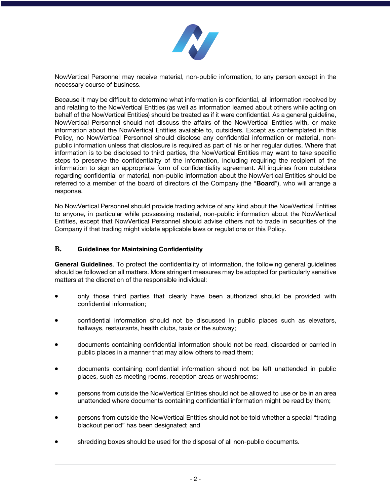

NowVertical Personnel may receive material, non-public information, to any person except in the necessary course of business.

Because it may be difficult to determine what information is confidential, all information received by and relating to the NowVertical Entities (as well as information learned about others while acting on behalf of the NowVertical Entities) should be treated as if it were confidential. As a general guideline, NowVertical Personnel should not discuss the affairs of the NowVertical Entities with, or make information about the NowVertical Entities available to, outsiders. Except as contemplated in this Policy, no NowVertical Personnel should disclose any confidential information or material, nonpublic information unless that disclosure is required as part of his or her regular duties. Where that information is to be disclosed to third parties, the NowVertical Entities may want to take specific steps to preserve the confidentiality of the information, including requiring the recipient of the information to sign an appropriate form of confidentiality agreement. All inquiries from outsiders regarding confidential or material, non-public information about the NowVertical Entities should be referred to a member of the board of directors of the Company (the "**Board**"), who will arrange a response.

No NowVertical Personnel should provide trading advice of any kind about the NowVertical Entities to anyone, in particular while possessing material, non-public information about the NowVertical Entities, except that NowVertical Personnel should advise others not to trade in securities of the Company if that trading might violate applicable laws or regulations or this Policy.

#### **B. Guidelines for Maintaining Confidentiality**

**General Guidelines**. To protect the confidentiality of information, the following general guidelines should be followed on all matters. More stringent measures may be adopted for particularly sensitive matters at the discretion of the responsible individual:

- only those third parties that clearly have been authorized should be provided with confidential information;
- confidential information should not be discussed in public places such as elevators, hallways, restaurants, health clubs, taxis or the subway;
- documents containing confidential information should not be read, discarded or carried in public places in a manner that may allow others to read them;
- documents containing confidential information should not be left unattended in public places, such as meeting rooms, reception areas or washrooms;
- persons from outside the NowVertical Entities should not be allowed to use or be in an area unattended where documents containing confidential information might be read by them;
- persons from outside the NowVertical Entities should not be told whether a special "trading blackout period" has been designated; and
- shredding boxes should be used for the disposal of all non-public documents.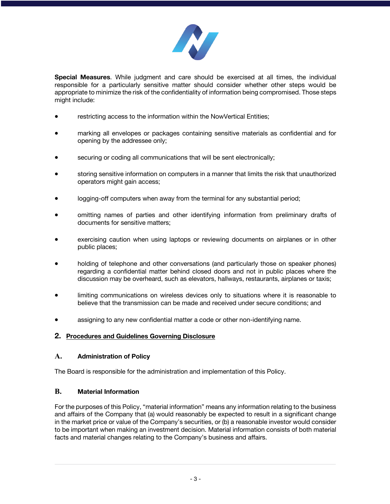

**Special Measures**. While judgment and care should be exercised at all times, the individual responsible for a particularly sensitive matter should consider whether other steps would be appropriate to minimize the risk of the confidentiality of information being compromised. Those steps might include:

- restricting access to the information within the NowVertical Entities;
- marking all envelopes or packages containing sensitive materials as confidential and for opening by the addressee only;
- securing or coding all communications that will be sent electronically;
- storing sensitive information on computers in a manner that limits the risk that unauthorized operators might gain access;
- logging-off computers when away from the terminal for any substantial period;
- omitting names of parties and other identifying information from preliminary drafts of documents for sensitive matters;
- exercising caution when using laptops or reviewing documents on airplanes or in other public places;
- holding of telephone and other conversations (and particularly those on speaker phones) regarding a confidential matter behind closed doors and not in public places where the discussion may be overheard, such as elevators, hallways, restaurants, airplanes or taxis;
- limiting communications on wireless devices only to situations where it is reasonable to believe that the transmission can be made and received under secure conditions; and
- assigning to any new confidential matter a code or other non-identifying name.

#### **2. Procedures and Guidelines Governing Disclosure**

#### **A. Administration of Policy**

The Board is responsible for the administration and implementation of this Policy.

#### **B. Material Information**

For the purposes of this Policy, "material information" means any information relating to the business and affairs of the Company that (a) would reasonably be expected to result in a significant change in the market price or value of the Company's securities, or (b) a reasonable investor would consider to be important when making an investment decision. Material information consists of both material facts and material changes relating to the Company's business and affairs.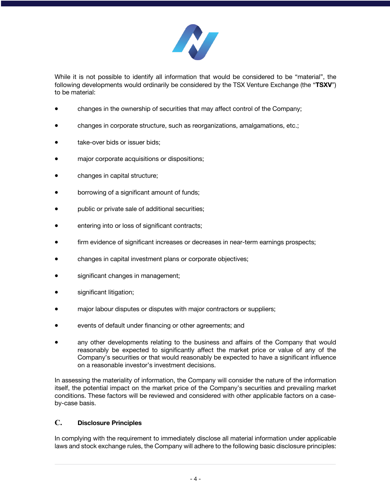

While it is not possible to identify all information that would be considered to be "material", the following developments would ordinarily be considered by the TSX Venture Exchange (the "**TSXV**") to be material:

- changes in the ownership of securities that may affect control of the Company;
- changes in corporate structure, such as reorganizations, amalgamations, etc.;
- take-over bids or issuer bids;
- major corporate acquisitions or dispositions;
- changes in capital structure;
- borrowing of a significant amount of funds;
- public or private sale of additional securities;
- entering into or loss of significant contracts;
- firm evidence of significant increases or decreases in near-term earnings prospects;
- changes in capital investment plans or corporate objectives;
- significant changes in management;
- significant litigation;
- major labour disputes or disputes with major contractors or suppliers;
- events of default under financing or other agreements; and
- any other developments relating to the business and affairs of the Company that would reasonably be expected to significantly affect the market price or value of any of the Company's securities or that would reasonably be expected to have a significant influence on a reasonable investor's investment decisions.

In assessing the materiality of information, the Company will consider the nature of the information itself, the potential impact on the market price of the Company's securities and prevailing market conditions. These factors will be reviewed and considered with other applicable factors on a caseby-case basis.

#### **C. Disclosure Principles**

In complying with the requirement to immediately disclose all material information under applicable laws and stock exchange rules, the Company will adhere to the following basic disclosure principles: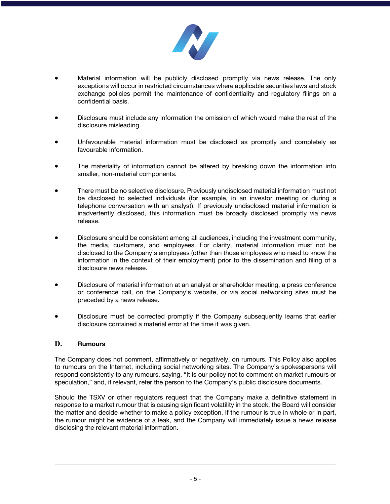

- Material information will be publicly disclosed promptly via news release. The only exceptions will occur in restricted circumstances where applicable securities laws and stock exchange policies permit the maintenance of confidentiality and regulatory filings on a confidential basis.
- Disclosure must include any information the omission of which would make the rest of the disclosure misleading.
- Unfavourable material information must be disclosed as promptly and completely as favourable information.
- The materiality of information cannot be altered by breaking down the information into smaller, non-material components.
- There must be no selective disclosure. Previously undisclosed material information must not be disclosed to selected individuals (for example, in an investor meeting or during a telephone conversation with an analyst). If previously undisclosed material information is inadvertently disclosed, this information must be broadly disclosed promptly via news release.
- Disclosure should be consistent among all audiences, including the investment community, the media, customers, and employees. For clarity, material information must not be disclosed to the Company's employees (other than those employees who need to know the information in the context of their employment) prior to the dissemination and filing of a disclosure news release.
- Disclosure of material information at an analyst or shareholder meeting, a press conference or conference call, on the Company's website, or via social networking sites must be preceded by a news release.
- Disclosure must be corrected promptly if the Company subsequently learns that earlier disclosure contained a material error at the time it was given.

#### **D. Rumours**

The Company does not comment, affirmatively or negatively, on rumours. This Policy also applies to rumours on the Internet, including social networking sites. The Company's spokespersons will respond consistently to any rumours, saying, "It is our policy not to comment on market rumours or speculation," and, if relevant, refer the person to the Company's public disclosure documents.

Should the TSXV or other regulators request that the Company make a definitive statement in response to a market rumour that is causing significant volatility in the stock, the Board will consider the matter and decide whether to make a policy exception. If the rumour is true in whole or in part, the rumour might be evidence of a leak, and the Company will immediately issue a news release disclosing the relevant material information.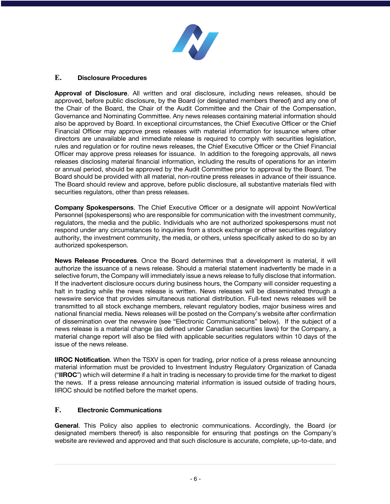

# **E. Disclosure Procedures**

**Approval of Disclosure**. All written and oral disclosure, including news releases, should be approved, before public disclosure, by the Board (or designated members thereof) and any one of the Chair of the Board, the Chair of the Audit Committee and the Chair of the Compensation, Governance and Nominating Committee. Any news releases containing material information should also be approved by Board. In exceptional circumstances, the Chief Executive Officer or the Chief Financial Officer may approve press releases with material information for issuance where other directors are unavailable and immediate release is required to comply with securities legislation, rules and regulation or for routine news releases, the Chief Executive Officer or the Chief Financial Officer may approve press releases for issuance. In addition to the foregoing approvals, all news releases disclosing material financial information, including the results of operations for an interim or annual period, should be approved by the Audit Committee prior to approval by the Board. The Board should be provided with all material, non-routine press releases in advance of their issuance. The Board should review and approve, before public disclosure, all substantive materials filed with securities regulators, other than press releases.

**Company Spokespersons**. The Chief Executive Officer or a designate will appoint NowVertical Personnel (spokespersons) who are responsible for communication with the investment community, regulators, the media and the public. Individuals who are not authorized spokespersons must not respond under any circumstances to inquiries from a stock exchange or other securities regulatory authority, the investment community, the media, or others, unless specifically asked to do so by an authorized spokesperson.

**News Release Procedures**. Once the Board determines that a development is material, it will authorize the issuance of a news release. Should a material statement inadvertently be made in a selective forum, the Company will immediately issue a news release to fully disclose that information. If the inadvertent disclosure occurs during business hours, the Company will consider requesting a halt in trading while the news release is written. News releases will be disseminated through a newswire service that provides simultaneous national distribution. Full-text news releases will be transmitted to all stock exchange members, relevant regulatory bodies, major business wires and national financial media. News releases will be posted on the Company's website after confirmation of dissemination over the newswire (see "Electronic Communications" below). If the subject of a news release is a material change (as defined under Canadian securities laws) for the Company, a material change report will also be filed with applicable securities regulators within 10 days of the issue of the news release.

**IIROC Notification**. When the TSXV is open for trading, prior notice of a press release announcing material information must be provided to Investment Industry Regulatory Organization of Canada ("**IIROC**") which will determine if a halt in trading is necessary to provide time for the market to digest the news. If a press release announcing material information is issued outside of trading hours, IIROC should be notified before the market opens.

# **F. Electronic Communications**

**General**. This Policy also applies to electronic communications. Accordingly, the Board (or designated members thereof) is also responsible for ensuring that postings on the Company's website are reviewed and approved and that such disclosure is accurate, complete, up-to-date, and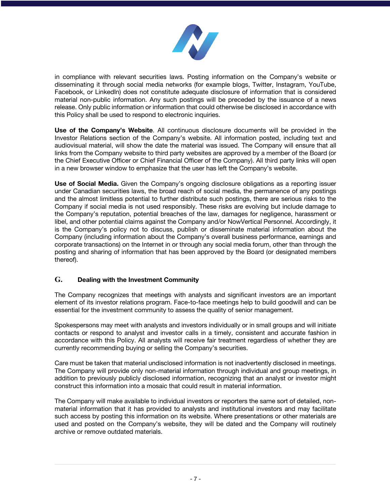

in compliance with relevant securities laws. Posting information on the Company's website or disseminating it through social media networks (for example blogs, Twitter, Instagram, YouTube, Facebook, or LinkedIn) does not constitute adequate disclosure of information that is considered material non-public information. Any such postings will be preceded by the issuance of a news release. Only public information or information that could otherwise be disclosed in accordance with this Policy shall be used to respond to electronic inquiries.

**Use of the Company's Website**. All continuous disclosure documents will be provided in the Investor Relations section of the Company's website. All information posted, including text and audiovisual material, will show the date the material was issued. The Company will ensure that all links from the Company website to third party websites are approved by a member of the Board (or the Chief Executive Officer or Chief Financial Officer of the Company). All third party links will open in a new browser window to emphasize that the user has left the Company's website.

**Use of Social Media.** Given the Company's ongoing disclosure obligations as a reporting issuer under Canadian securities laws, the broad reach of social media, the permanence of any postings and the almost limitless potential to further distribute such postings, there are serious risks to the Company if social media is not used responsibly. These risks are evolving but include damage to the Company's reputation, potential breaches of the law, damages for negligence, harassment or libel, and other potential claims against the Company and/or NowVertical Personnel. Accordingly, it is the Company's policy not to discuss, publish or disseminate material information about the Company (including information about the Company's overall business performance, earnings and corporate transactions) on the Internet in or through any social media forum, other than through the posting and sharing of information that has been approved by the Board (or designated members thereof).

# **G. Dealing with the Investment Community**

The Company recognizes that meetings with analysts and significant investors are an important element of its investor relations program. Face-to-face meetings help to build goodwill and can be essential for the investment community to assess the quality of senior management.

Spokespersons may meet with analysts and investors individually or in small groups and will initiate contacts or respond to analyst and investor calls in a timely, consistent and accurate fashion in accordance with this Policy. All analysts will receive fair treatment regardless of whether they are currently recommending buying or selling the Company's securities.

Care must be taken that material undisclosed information is not inadvertently disclosed in meetings. The Company will provide only non-material information through individual and group meetings, in addition to previously publicly disclosed information, recognizing that an analyst or investor might construct this information into a mosaic that could result in material information.

The Company will make available to individual investors or reporters the same sort of detailed, nonmaterial information that it has provided to analysts and institutional investors and may facilitate such access by posting this information on its website. Where presentations or other materials are used and posted on the Company's website, they will be dated and the Company will routinely archive or remove outdated materials.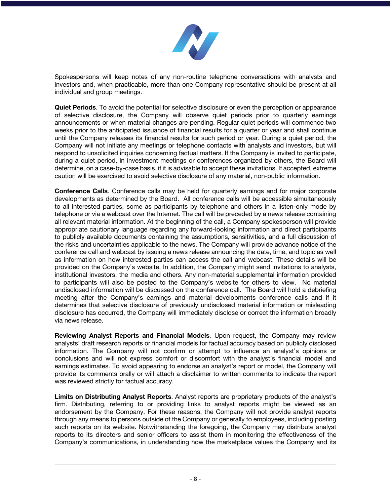

Spokespersons will keep notes of any non-routine telephone conversations with analysts and investors and, when practicable, more than one Company representative should be present at all individual and group meetings.

**Quiet Periods**. To avoid the potential for selective disclosure or even the perception or appearance of selective disclosure, the Company will observe quiet periods prior to quarterly earnings announcements or when material changes are pending. Regular quiet periods will commence two weeks prior to the anticipated issuance of financial results for a quarter or year and shall continue until the Company releases its financial results for such period or year. During a quiet period, the Company will not initiate any meetings or telephone contacts with analysts and investors, but will respond to unsolicited inquiries concerning factual matters. If the Company is invited to participate, during a quiet period, in investment meetings or conferences organized by others, the Board will determine, on a case-by-case basis, if it is advisable to accept these invitations. If accepted, extreme caution will be exercised to avoid selective disclosure of any material, non-public information.

**Conference Calls**. Conference calls may be held for quarterly earnings and for major corporate developments as determined by the Board. All conference calls will be accessible simultaneously to all interested parties, some as participants by telephone and others in a listen-only mode by telephone or via a webcast over the Internet. The call will be preceded by a news release containing all relevant material information. At the beginning of the call, a Company spokesperson will provide appropriate cautionary language regarding any forward-looking information and direct participants to publicly available documents containing the assumptions, sensitivities, and a full discussion of the risks and uncertainties applicable to the news. The Company will provide advance notice of the conference call and webcast by issuing a news release announcing the date, time, and topic as well as information on how interested parties can access the call and webcast. These details will be provided on the Company's website. In addition, the Company might send invitations to analysts, institutional investors, the media and others. Any non-material supplemental information provided to participants will also be posted to the Company's website for others to view. No material undisclosed information will be discussed on the conference call. The Board will hold a debriefing meeting after the Company's earnings and material developments conference calls and if it determines that selective disclosure of previously undisclosed material information or misleading disclosure has occurred, the Company will immediately disclose or correct the information broadly via news release.

**Reviewing Analyst Reports and Financial Models**. Upon request, the Company may review analysts' draft research reports or financial models for factual accuracy based on publicly disclosed information. The Company will not confirm or attempt to influence an analyst's opinions or conclusions and will not express comfort or discomfort with the analyst's financial model and earnings estimates. To avoid appearing to endorse an analyst's report or model, the Company will provide its comments orally or will attach a disclaimer to written comments to indicate the report was reviewed strictly for factual accuracy.

**Limits on Distributing Analyst Reports**. Analyst reports are proprietary products of the analyst's firm. Distributing, referring to or providing links to analyst reports might be viewed as an endorsement by the Company. For these reasons, the Company will not provide analyst reports through any means to persons outside of the Company or generally to employees, including posting such reports on its website. Notwithstanding the foregoing, the Company may distribute analyst reports to its directors and senior officers to assist them in monitoring the effectiveness of the Company's communications, in understanding how the marketplace values the Company and its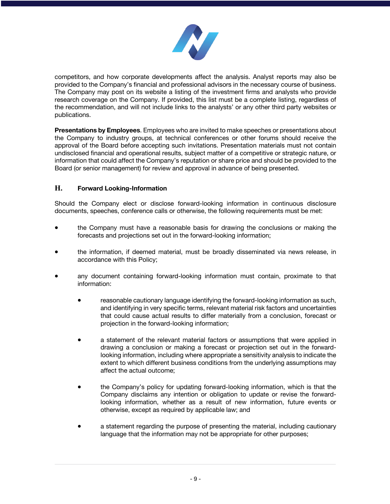

competitors, and how corporate developments affect the analysis. Analyst reports may also be provided to the Company's financial and professional advisors in the necessary course of business. The Company may post on its website a listing of the investment firms and analysts who provide research coverage on the Company. If provided, this list must be a complete listing, regardless of the recommendation, and will not include links to the analysts' or any other third party websites or publications.

**Presentations by Employees**. Employees who are invited to make speeches or presentations about the Company to industry groups, at technical conferences or other forums should receive the approval of the Board before accepting such invitations. Presentation materials must not contain undisclosed financial and operational results, subject matter of a competitive or strategic nature, or information that could affect the Company's reputation or share price and should be provided to the Board (or senior management) for review and approval in advance of being presented.

# **H. Forward Looking-Information**

Should the Company elect or disclose forward-looking information in continuous disclosure documents, speeches, conference calls or otherwise, the following requirements must be met:

- the Company must have a reasonable basis for drawing the conclusions or making the forecasts and projections set out in the forward-looking information;
- the information, if deemed material, must be broadly disseminated via news release, in accordance with this Policy;
- any document containing forward-looking information must contain, proximate to that information:
	- reasonable cautionary language identifying the forward-looking information as such, and identifying in very specific terms, relevant material risk factors and uncertainties that could cause actual results to differ materially from a conclusion, forecast or projection in the forward-looking information;
	- a statement of the relevant material factors or assumptions that were applied in drawing a conclusion or making a forecast or projection set out in the forwardlooking information, including where appropriate a sensitivity analysis to indicate the extent to which different business conditions from the underlying assumptions may affect the actual outcome;
	- the Company's policy for updating forward-looking information, which is that the Company disclaims any intention or obligation to update or revise the forwardlooking information, whether as a result of new information, future events or otherwise, except as required by applicable law; and
	- a statement regarding the purpose of presenting the material, including cautionary language that the information may not be appropriate for other purposes;